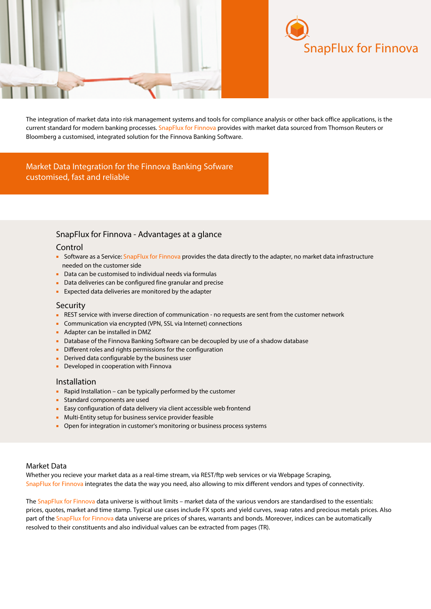



The integration of market data into risk management systems and tools for compliance analysis or other back office applications, is the current standard for modern banking processes. SnapFlux for Finnova provides with market data sourced from Thomson Reuters or Bloomberg a customised, integrated solution for the Finnova Banking Software.

Market Data Integration for the Finnova Banking Sofware customised, fast and reliable

# SnapFlux for Finnova - Advantages at a glance

## Control

- Software as a Service: SnapFlux for Finnova provides the data directly to the adapter, no market data infrastructure needed on the customer side
- Data can be customised to individual needs via formulas
- Data deliveries can be configured fine granular and precise
- Expected data deliveries are monitored by the adapter

### **Security**

- REST service with inverse direction of communication no requests are sent from the customer network
- Communication via encrypted (VPN, SSL via Internet) connections
- Adapter can be installed in DMZ
- Database of the Finnova Banking Software can be decoupled by use of a shadow database
- Different roles and rights permissions for the configuration
- Derived data configurable by the business user
- Developed in cooperation with Finnova

### Installation

- Rapid Installation can be typically performed by the customer
- Standard components are used
- Easy configuration of data delivery via client accessible web frontend
- Multi-Entity setup for business service provider feasible
- Open for integration in customer's monitoring or business process systems

## Market Data

Whether you recieve your market data as a real-time stream, via REST/ftp web services or via Webpage Scraping, SnapFlux for Finnova integrates the data the way you need, also allowing to mix different vendors and types of connectivity.

The SnapFlux for Finnova data universe is without limits – market data of the various vendors are standardised to the essentials: prices, quotes, market and time stamp. Typical use cases include FX spots and yield curves, swap rates and precious metals prices. Also part of the SnapFlux for Finnova data universe are prices of shares, warrants and bonds. Moreover, indices can be automatically resolved to their constituents and also individual values can be extracted from pages (TR).